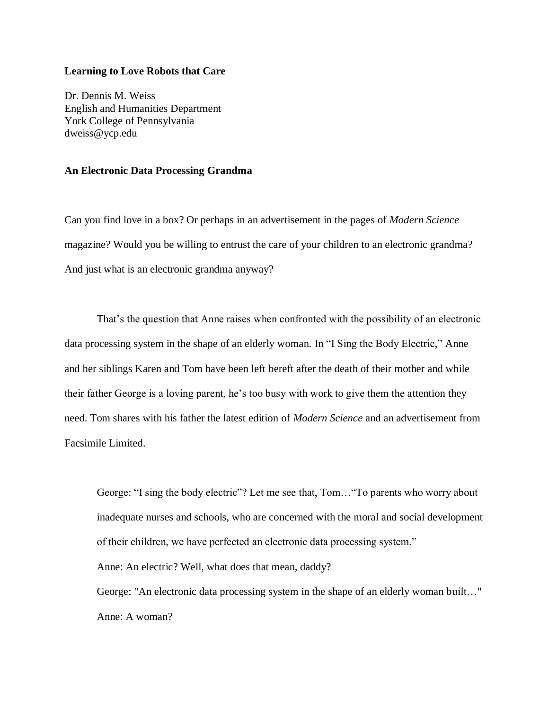## **Learning to Love Robots that Care**

Dr. Dennis M. Weiss English and Humanities Department York College of Pennsylvania dweiss@ycp.edu

# **An Electronic Data Processing Grandma**

Can you find love in a box? Or perhaps in an advertisement in the pages of *Modern Science* magazine? Would you be willing to entrust the care of your children to an electronic grandma? And just what is an electronic grandma anyway?

That's the question that Anne raises when confronted with the possibility of an electronic data processing system in the shape of an elderly woman. In "I Sing the Body Electric," Anne and her siblings Karen and Tom have been left bereft after the death of their mother and while their father George is a loving parent, he's too busy with work to give them the attention they need. Tom shares with his father the latest edition of *Modern Science* and an advertisement from Facsimile Limited.

George: "I sing the body electric"? Let me see that, Tom…"To parents who worry about inadequate nurses and schools, who are concerned with the moral and social development of their children, we have perfected an electronic data processing system." Anne: An electric? Well, what does that mean, daddy?

George: "An electronic data processing system in the shape of an elderly woman built…" Anne: A woman?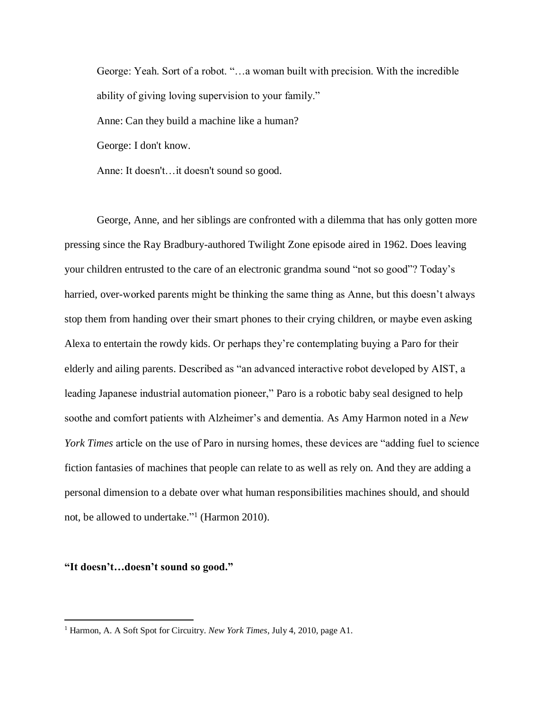George: Yeah. Sort of a robot. "…a woman built with precision. With the incredible ability of giving loving supervision to your family."

Anne: Can they build a machine like a human?

George: I don't know.

Anne: It doesn't…it doesn't sound so good.

George, Anne, and her siblings are confronted with a dilemma that has only gotten more pressing since the Ray Bradbury-authored Twilight Zone episode aired in 1962. Does leaving your children entrusted to the care of an electronic grandma sound "not so good"? Today's harried, over-worked parents might be thinking the same thing as Anne, but this doesn't always stop them from handing over their smart phones to their crying children, or maybe even asking Alexa to entertain the rowdy kids. Or perhaps they're contemplating buying a Paro for their elderly and ailing parents. Described as "an advanced interactive robot developed by AIST, a leading Japanese industrial automation pioneer," Paro is a robotic baby seal designed to help soothe and comfort patients with Alzheimer's and dementia. As Amy Harmon noted in a *New York Times* article on the use of Paro in nursing homes, these devices are "adding fuel to science" fiction fantasies of machines that people can relate to as well as rely on. And they are adding a personal dimension to a debate over what human responsibilities machines should, and should not, be allowed to undertake." 1 (Harmon 2010).

**"It doesn't…doesn't sound so good."**

 $\overline{a}$ 

<sup>1</sup> Harmon, A. A Soft Spot for Circuitry. *New York Times*, July 4, 2010, page A1.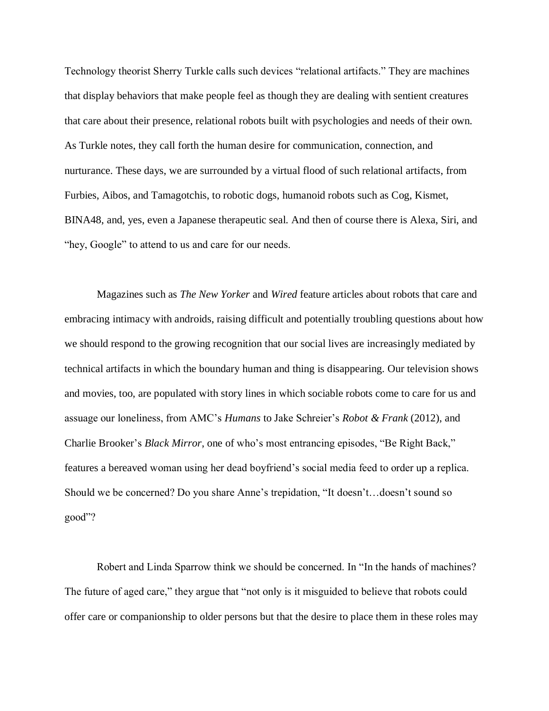Technology theorist Sherry Turkle calls such devices "relational artifacts." They are machines that display behaviors that make people feel as though they are dealing with sentient creatures that care about their presence, relational robots built with psychologies and needs of their own. As Turkle notes, they call forth the human desire for communication, connection, and nurturance. These days, we are surrounded by a virtual flood of such relational artifacts, from Furbies, Aibos, and Tamagotchis, to robotic dogs, humanoid robots such as Cog, Kismet, BINA48, and, yes, even a Japanese therapeutic seal. And then of course there is Alexa, Siri, and "hey, Google" to attend to us and care for our needs.

Magazines such as *The New Yorker* and *Wired* feature articles about robots that care and embracing intimacy with androids, raising difficult and potentially troubling questions about how we should respond to the growing recognition that our social lives are increasingly mediated by technical artifacts in which the boundary human and thing is disappearing. Our television shows and movies, too, are populated with story lines in which sociable robots come to care for us and assuage our loneliness, from AMC's *Humans* to Jake Schreier's *Robot & Frank* (2012), and Charlie Brooker's *Black Mirror*, one of who's most entrancing episodes, "Be Right Back," features a bereaved woman using her dead boyfriend's social media feed to order up a replica. Should we be concerned? Do you share Anne's trepidation, "It doesn't…doesn't sound so good"?

Robert and Linda Sparrow think we should be concerned. In "In the hands of machines? The future of aged care," they argue that "not only is it misguided to believe that robots could offer care or companionship to older persons but that the desire to place them in these roles may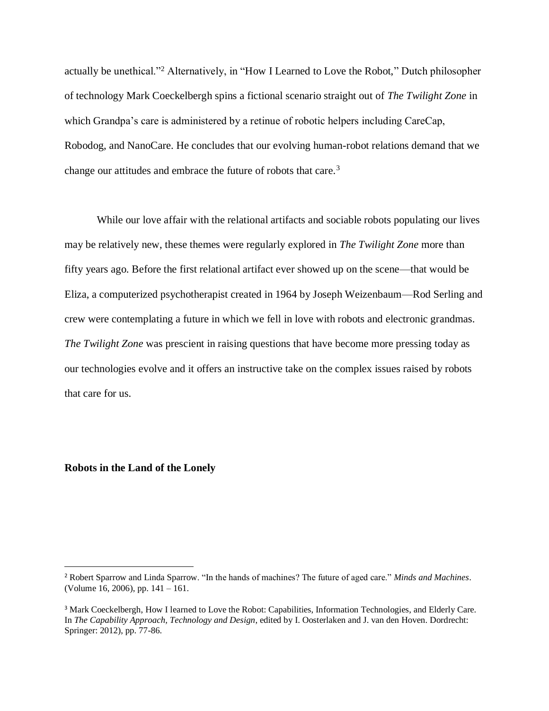actually be unethical."<sup>2</sup> Alternatively, in "How I Learned to Love the Robot," Dutch philosopher of technology Mark Coeckelbergh spins a fictional scenario straight out of *The Twilight Zone* in which Grandpa's care is administered by a retinue of robotic helpers including CareCap, Robodog, and NanoCare. He concludes that our evolving human-robot relations demand that we change our attitudes and embrace the future of robots that care.<sup>3</sup>

While our love affair with the relational artifacts and sociable robots populating our lives may be relatively new, these themes were regularly explored in *The Twilight Zone* more than fifty years ago. Before the first relational artifact ever showed up on the scene—that would be Eliza, a computerized psychotherapist created in 1964 by Joseph Weizenbaum—Rod Serling and crew were contemplating a future in which we fell in love with robots and electronic grandmas. *The Twilight Zone* was prescient in raising questions that have become more pressing today as our technologies evolve and it offers an instructive take on the complex issues raised by robots that care for us.

#### **Robots in the Land of the Lonely**

 $\overline{a}$ 

<sup>2</sup> Robert Sparrow and Linda Sparrow. "In the hands of machines? The future of aged care." *Minds and Machines*. (Volume 16, 2006), pp. 141 – 161.

<sup>3</sup> Mark Coeckelbergh, How I learned to Love the Robot: Capabilities, Information Technologies, and Elderly Care. In *The Capability Approach, Technology and Design*, edited by I. Oosterlaken and J. van den Hoven. Dordrecht: Springer: 2012), pp. 77-86.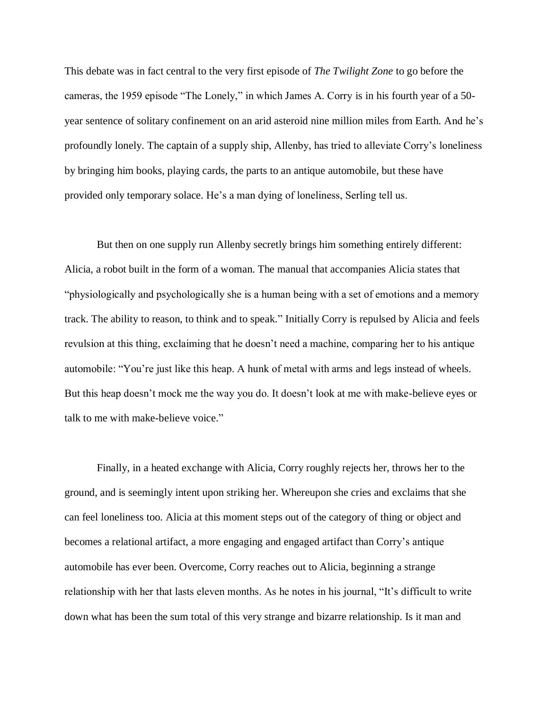This debate was in fact central to the very first episode of *The Twilight Zone* to go before the cameras, the 1959 episode "The Lonely," in which James A. Corry is in his fourth year of a 50 year sentence of solitary confinement on an arid asteroid nine million miles from Earth. And he's profoundly lonely. The captain of a supply ship, Allenby, has tried to alleviate Corry's loneliness by bringing him books, playing cards, the parts to an antique automobile, but these have provided only temporary solace. He's a man dying of loneliness, Serling tell us.

But then on one supply run Allenby secretly brings him something entirely different: Alicia, a robot built in the form of a woman. The manual that accompanies Alicia states that "physiologically and psychologically she is a human being with a set of emotions and a memory track. The ability to reason, to think and to speak." Initially Corry is repulsed by Alicia and feels revulsion at this thing, exclaiming that he doesn't need a machine, comparing her to his antique automobile: "You're just like this heap. A hunk of metal with arms and legs instead of wheels. But this heap doesn't mock me the way you do. It doesn't look at me with make-believe eyes or talk to me with make-believe voice."

Finally, in a heated exchange with Alicia, Corry roughly rejects her, throws her to the ground, and is seemingly intent upon striking her. Whereupon she cries and exclaims that she can feel loneliness too. Alicia at this moment steps out of the category of thing or object and becomes a relational artifact, a more engaging and engaged artifact than Corry's antique automobile has ever been. Overcome, Corry reaches out to Alicia, beginning a strange relationship with her that lasts eleven months. As he notes in his journal, "It's difficult to write down what has been the sum total of this very strange and bizarre relationship. Is it man and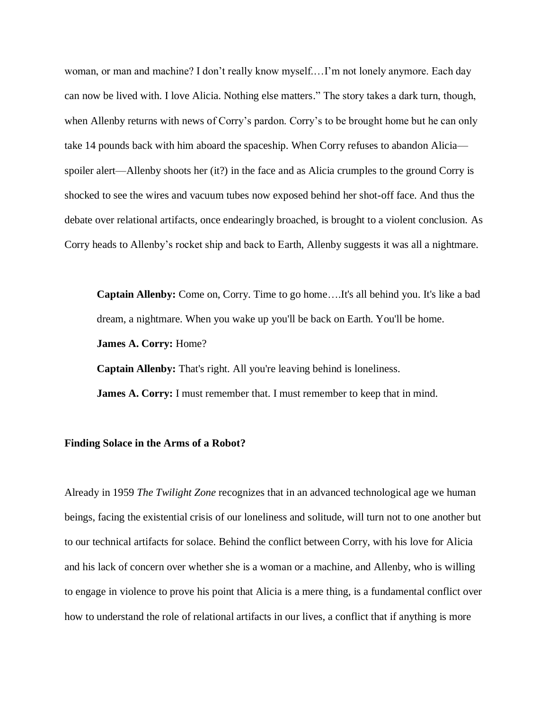woman, or man and machine? I don't really know myself.…I'm not lonely anymore. Each day can now be lived with. I love Alicia. Nothing else matters." The story takes a dark turn, though, when Allenby returns with news of Corry's pardon. Corry's to be brought home but he can only take 14 pounds back with him aboard the spaceship. When Corry refuses to abandon Alicia spoiler alert—Allenby shoots her (it?) in the face and as Alicia crumples to the ground Corry is shocked to see the wires and vacuum tubes now exposed behind her shot-off face. And thus the debate over relational artifacts, once endearingly broached, is brought to a violent conclusion. As Corry heads to Allenby's rocket ship and back to Earth, Allenby suggests it was all a nightmare.

**Captain Allenby:** Come on, Corry. Time to go home….It's all behind you. It's like a bad dream, a nightmare. When you wake up you'll be back on Earth. You'll be home. **James A. Corry:** Home?

**Captain Allenby:** That's right. All you're leaving behind is loneliness.

**James A. Corry:** I must remember that. I must remember to keep that in mind.

# **Finding Solace in the Arms of a Robot?**

Already in 1959 *The Twilight Zone* recognizes that in an advanced technological age we human beings, facing the existential crisis of our loneliness and solitude, will turn not to one another but to our technical artifacts for solace. Behind the conflict between Corry, with his love for Alicia and his lack of concern over whether she is a woman or a machine, and Allenby, who is willing to engage in violence to prove his point that Alicia is a mere thing, is a fundamental conflict over how to understand the role of relational artifacts in our lives, a conflict that if anything is more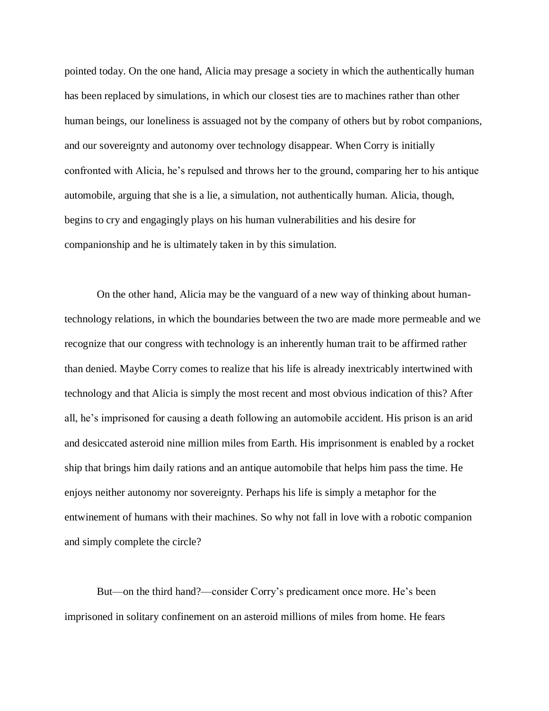pointed today. On the one hand, Alicia may presage a society in which the authentically human has been replaced by simulations, in which our closest ties are to machines rather than other human beings, our loneliness is assuaged not by the company of others but by robot companions, and our sovereignty and autonomy over technology disappear. When Corry is initially confronted with Alicia, he's repulsed and throws her to the ground, comparing her to his antique automobile, arguing that she is a lie, a simulation, not authentically human. Alicia, though, begins to cry and engagingly plays on his human vulnerabilities and his desire for companionship and he is ultimately taken in by this simulation.

On the other hand, Alicia may be the vanguard of a new way of thinking about humantechnology relations, in which the boundaries between the two are made more permeable and we recognize that our congress with technology is an inherently human trait to be affirmed rather than denied. Maybe Corry comes to realize that his life is already inextricably intertwined with technology and that Alicia is simply the most recent and most obvious indication of this? After all, he's imprisoned for causing a death following an automobile accident. His prison is an arid and desiccated asteroid nine million miles from Earth. His imprisonment is enabled by a rocket ship that brings him daily rations and an antique automobile that helps him pass the time. He enjoys neither autonomy nor sovereignty. Perhaps his life is simply a metaphor for the entwinement of humans with their machines. So why not fall in love with a robotic companion and simply complete the circle?

But—on the third hand?—consider Corry's predicament once more. He's been imprisoned in solitary confinement on an asteroid millions of miles from home. He fears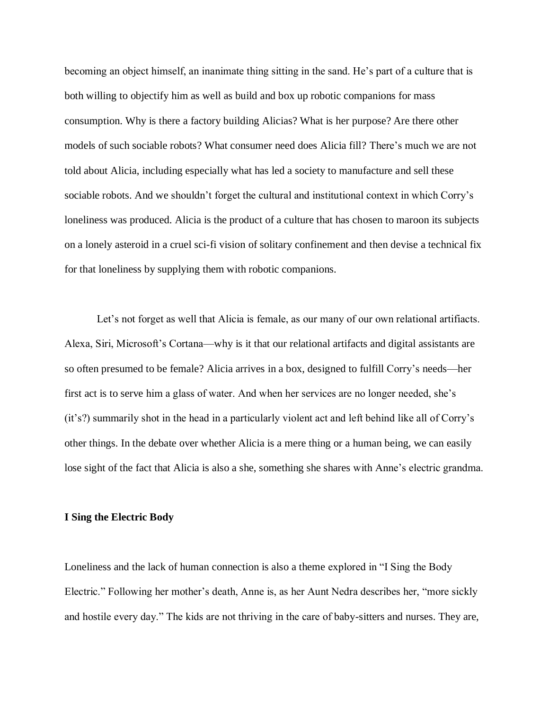becoming an object himself, an inanimate thing sitting in the sand. He's part of a culture that is both willing to objectify him as well as build and box up robotic companions for mass consumption. Why is there a factory building Alicias? What is her purpose? Are there other models of such sociable robots? What consumer need does Alicia fill? There's much we are not told about Alicia, including especially what has led a society to manufacture and sell these sociable robots. And we shouldn't forget the cultural and institutional context in which Corry's loneliness was produced. Alicia is the product of a culture that has chosen to maroon its subjects on a lonely asteroid in a cruel sci-fi vision of solitary confinement and then devise a technical fix for that loneliness by supplying them with robotic companions.

Let's not forget as well that Alicia is female, as our many of our own relational artifiacts. Alexa, Siri, Microsoft's Cortana—why is it that our relational artifacts and digital assistants are so often presumed to be female? Alicia arrives in a box, designed to fulfill Corry's needs—her first act is to serve him a glass of water. And when her services are no longer needed, she's (it's?) summarily shot in the head in a particularly violent act and left behind like all of Corry's other things. In the debate over whether Alicia is a mere thing or a human being, we can easily lose sight of the fact that Alicia is also a she, something she shares with Anne's electric grandma.

### **I Sing the Electric Body**

Loneliness and the lack of human connection is also a theme explored in "I Sing the Body Electric." Following her mother's death, Anne is, as her Aunt Nedra describes her, "more sickly and hostile every day." The kids are not thriving in the care of baby-sitters and nurses. They are,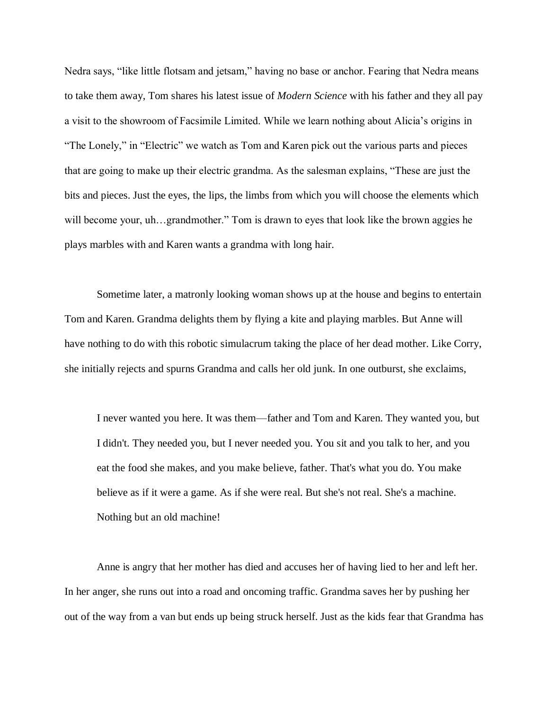Nedra says, "like little flotsam and jetsam," having no base or anchor. Fearing that Nedra means to take them away, Tom shares his latest issue of *Modern Science* with his father and they all pay a visit to the showroom of Facsimile Limited. While we learn nothing about Alicia's origins in "The Lonely," in "Electric" we watch as Tom and Karen pick out the various parts and pieces that are going to make up their electric grandma. As the salesman explains, "These are just the bits and pieces. Just the eyes, the lips, the limbs from which you will choose the elements which will become your, uh…grandmother." Tom is drawn to eyes that look like the brown aggies he plays marbles with and Karen wants a grandma with long hair.

Sometime later, a matronly looking woman shows up at the house and begins to entertain Tom and Karen. Grandma delights them by flying a kite and playing marbles. But Anne will have nothing to do with this robotic simulacrum taking the place of her dead mother. Like Corry, she initially rejects and spurns Grandma and calls her old junk. In one outburst, she exclaims,

I never wanted you here. It was them—father and Tom and Karen. They wanted you, but I didn't. They needed you, but I never needed you. You sit and you talk to her, and you eat the food she makes, and you make believe, father. That's what you do. You make believe as if it were a game. As if she were real. But she's not real. She's a machine. Nothing but an old machine!

Anne is angry that her mother has died and accuses her of having lied to her and left her. In her anger, she runs out into a road and oncoming traffic. Grandma saves her by pushing her out of the way from a van but ends up being struck herself. Just as the kids fear that Grandma has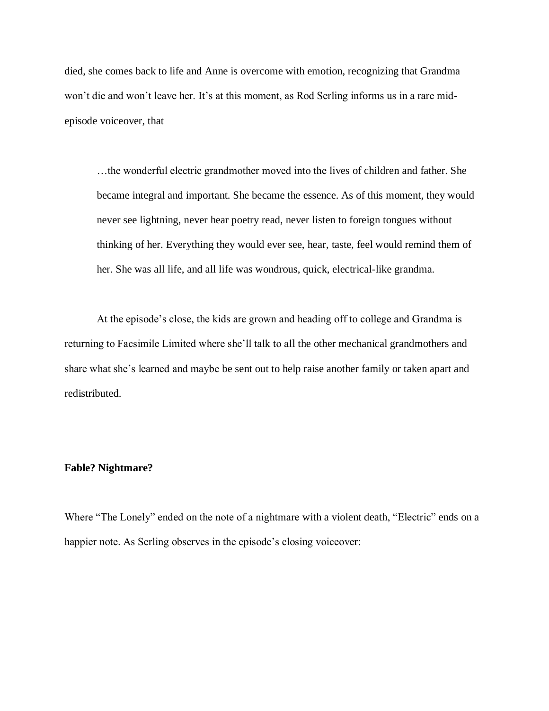died, she comes back to life and Anne is overcome with emotion, recognizing that Grandma won't die and won't leave her. It's at this moment, as Rod Serling informs us in a rare midepisode voiceover, that

…the wonderful electric grandmother moved into the lives of children and father. She became integral and important. She became the essence. As of this moment, they would never see lightning, never hear poetry read, never listen to foreign tongues without thinking of her. Everything they would ever see, hear, taste, feel would remind them of her. She was all life, and all life was wondrous, quick, electrical-like grandma.

At the episode's close, the kids are grown and heading off to college and Grandma is returning to Facsimile Limited where she'll talk to all the other mechanical grandmothers and share what she's learned and maybe be sent out to help raise another family or taken apart and redistributed.

# **Fable? Nightmare?**

Where "The Lonely" ended on the note of a nightmare with a violent death, "Electric" ends on a happier note. As Serling observes in the episode's closing voiceover: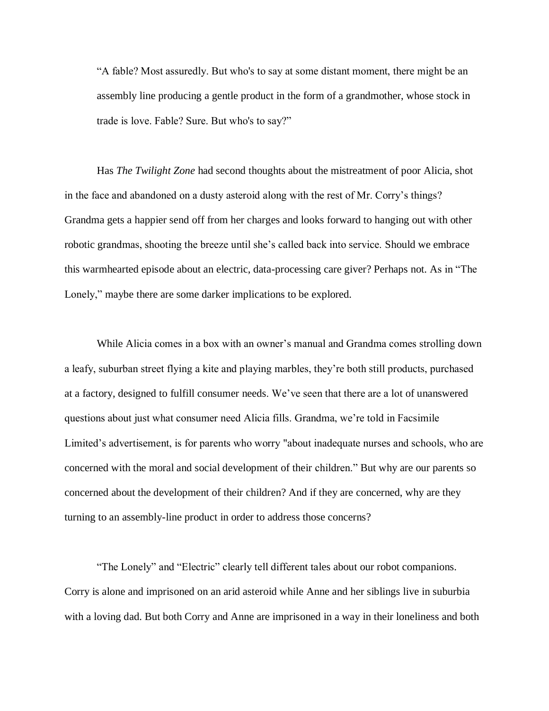"A fable? Most assuredly. But who's to say at some distant moment, there might be an assembly line producing a gentle product in the form of a grandmother, whose stock in trade is love. Fable? Sure. But who's to say?"

Has *The Twilight Zone* had second thoughts about the mistreatment of poor Alicia, shot in the face and abandoned on a dusty asteroid along with the rest of Mr. Corry's things? Grandma gets a happier send off from her charges and looks forward to hanging out with other robotic grandmas, shooting the breeze until she's called back into service. Should we embrace this warmhearted episode about an electric, data-processing care giver? Perhaps not. As in "The Lonely," maybe there are some darker implications to be explored.

While Alicia comes in a box with an owner's manual and Grandma comes strolling down a leafy, suburban street flying a kite and playing marbles, they're both still products, purchased at a factory, designed to fulfill consumer needs. We've seen that there are a lot of unanswered questions about just what consumer need Alicia fills. Grandma, we're told in Facsimile Limited's advertisement, is for parents who worry "about inadequate nurses and schools, who are concerned with the moral and social development of their children." But why are our parents so concerned about the development of their children? And if they are concerned, why are they turning to an assembly-line product in order to address those concerns?

"The Lonely" and "Electric" clearly tell different tales about our robot companions. Corry is alone and imprisoned on an arid asteroid while Anne and her siblings live in suburbia with a loving dad. But both Corry and Anne are imprisoned in a way in their loneliness and both